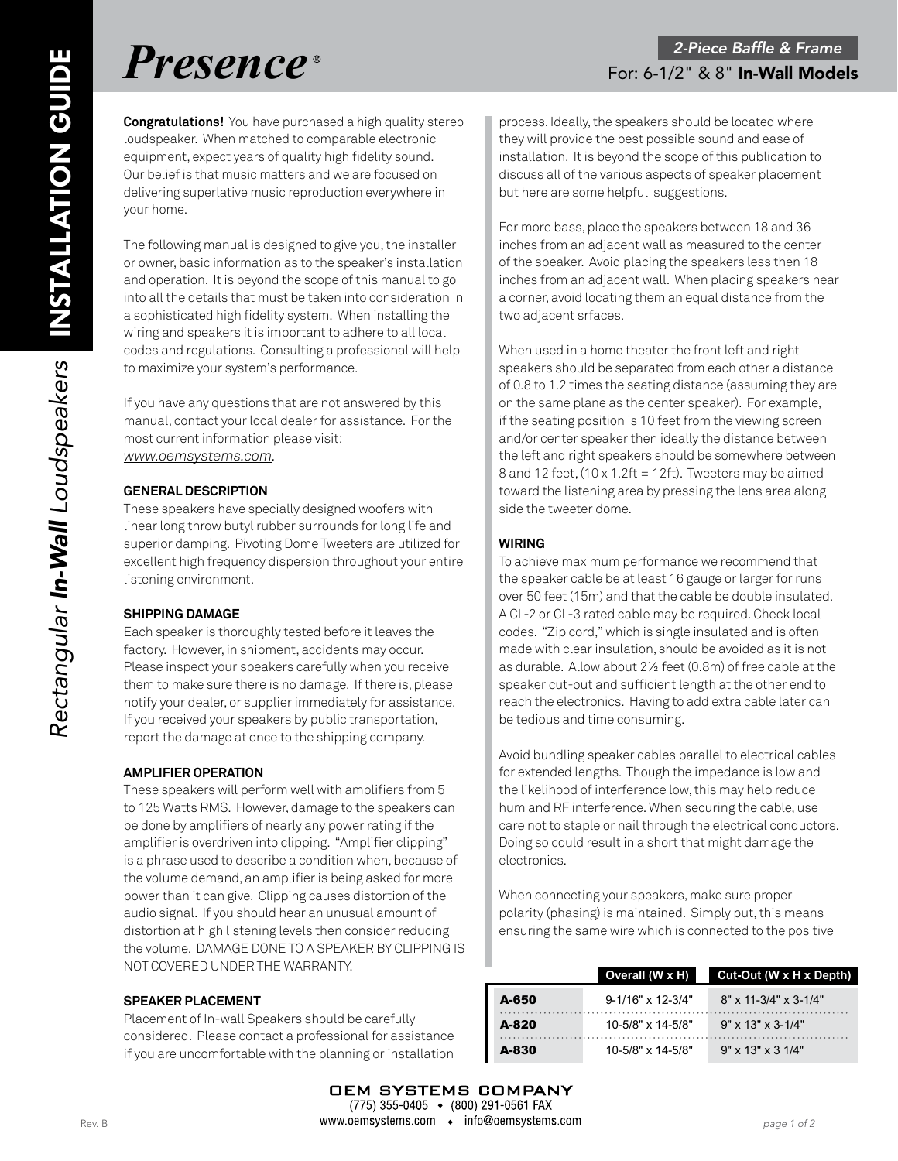**Congratulations!** You have purchased a high quality stereo loudspeaker. When matched to comparable electronic equipment, expect years of quality high fidelity sound. Our belief is that music matters and we are focused on delivering superlative music reproduction everywhere in your home.

The following manual is designed to give you, the installer or owner, basic information as to the speaker's installation and operation. It is beyond the scope of this manual to go into all the details that must be taken into consideration in a sophisticated high fidelity system. When installing the wiring and speakers it is important to adhere to all local codes and regulations. Consulting a professional will help to maximize your system's performance.

If you have any questions that are not answered by this manual, contact your local dealer for assistance. For the most current information please visit: *www.oemsystems.com.*

### **GENERAL DESCRIPTION**

These speakers have specially designed woofers with linear long throw butyl rubber surrounds for long life and superior damping. Pivoting Dome Tweeters are utilized for excellent high frequency dispersion throughout your entire listening environment.

#### **SHIPPING DAMAGE**

Each speaker is thoroughly tested before it leaves the factory. However, in shipment, accidents may occur. Please inspect your speakers carefully when you receive them to make sure there is no damage. If there is, please notify your dealer, or supplier immediately for assistance. If you received your speakers by public transportation, report the damage at once to the shipping company.

# **AMPLIFIER OPERATION**

These speakers will perform well with amplifiers from 5 to 125 Watts RMS. However, damage to the speakers can be done by amplifiers of nearly any power rating if the amplifier is overdriven into clipping. "Amplifier clipping" is a phrase used to describe a condition when, because of the volume demand, an amplifier is being asked for more power than it can give. Clipping causes distortion of the audio signal. If you should hear an unusual amount of distortion at high listening levels then consider reducing the volume. DAMAGE DONE TO A SPEAKER BY CLIPPING IS NOT COVERED UNDER THE WARRANTY.

# **SPEAKER PLACEMENT**

Placement of In-wall Speakers should be carefully considered. Please contact a professional for assistance if you are uncomfortable with the planning or installation

process. Ideally, the speakers should be located where they will provide the best possible sound and ease of installation. It is beyond the scope of this publication to discuss all of the various aspects of speaker placement but here are some helpful suggestions.

For more bass, place the speakers between 18 and 36 inches from an adjacent wall as measured to the center of the speaker. Avoid placing the speakers less then 18 inches from an adjacent wall. When placing speakers near a corner, avoid locating them an equal distance from the two adjacent srfaces.

When used in a home theater the front left and right speakers should be separated from each other a distance of 0.8 to 1.2 times the seating distance (assuming they are on the same plane as the center speaker). For example, if the seating position is 10 feet from the viewing screen and/or center speaker then ideally the distance between the left and right speakers should be somewhere between 8 and 12 feet,  $(10 \times 1.2$ ft = 12ft). Tweeters may be aimed toward the listening area by pressing the lens area along side the tweeter dome.

# **WIRING**

To achieve maximum performance we recommend that the speaker cable be at least 16 gauge or larger for runs over 50 feet (15m) and that the cable be double insulated. A CL-2 or CL-3 rated cable may be required. Check local codes. "Zip cord," which is single insulated and is often made with clear insulation, should be avoided as it is not as durable. Allow about 2½ feet (0.8m) of free cable at the speaker cut-out and sufficient length at the other end to reach the electronics. Having to add extra cable later can be tedious and time consuming.

Avoid bundling speaker cables parallel to electrical cables for extended lengths. Though the impedance is low and the likelihood of interference low, this may help reduce hum and RF interference. When securing the cable, use care not to staple or nail through the electrical conductors. Doing so could result in a short that might damage the electronics.

When connecting your speakers, make sure proper polarity (phasing) is maintained. Simply put, this means ensuring the same wire which is connected to the positive

|       | Overall (W x H)              | Cut-Out (W x H x Depth)               |
|-------|------------------------------|---------------------------------------|
| A-650 | $9 - 1/16" \times 12 - 3/4"$ | $8" \times 11 - 3/4" \times 3 - 1/4"$ |
| A-820 | $10 - 5/8" \times 14 - 5/8"$ | $9'' \times 13'' \times 3 - 1/4''$    |
| A-830 | $10 - 5/8" \times 14 - 5/8"$ | $9'' \times 13'' \times 31/4''$       |